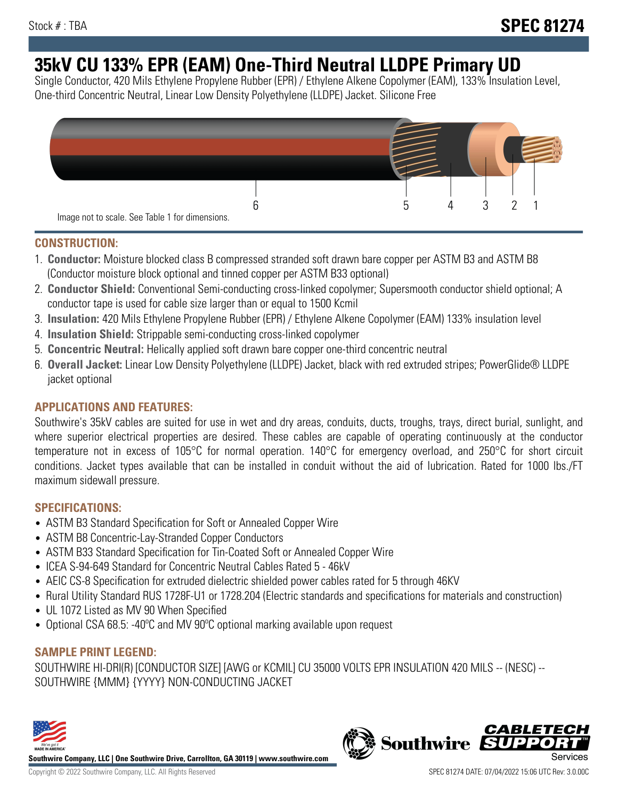# **35kV CU 133% EPR (EAM) One-Third Neutral LLDPE Primary UD**

Single Conductor, 420 Mils Ethylene Propylene Rubber (EPR) / Ethylene Alkene Copolymer (EAM), 133% Insulation Level, One-third Concentric Neutral, Linear Low Density Polyethylene (LLDPE) Jacket. Silicone Free



## **CONSTRUCTION:**

- 1. **Conductor:** Moisture blocked class B compressed stranded soft drawn bare copper per ASTM B3 and ASTM B8 (Conductor moisture block optional and tinned copper per ASTM B33 optional)
- 2. **Conductor Shield:** Conventional Semi-conducting cross-linked copolymer; Supersmooth conductor shield optional; A conductor tape is used for cable size larger than or equal to 1500 Kcmil
- 3. **Insulation:** 420 Mils Ethylene Propylene Rubber (EPR) / Ethylene Alkene Copolymer (EAM) 133% insulation level
- 4. **Insulation Shield:** Strippable semi-conducting cross-linked copolymer
- 5. **Concentric Neutral:** Helically applied soft drawn bare copper one-third concentric neutral
- 6. **Overall Jacket:** Linear Low Density Polyethylene (LLDPE) Jacket, black with red extruded stripes; PowerGlide® LLDPE jacket optional

# **APPLICATIONS AND FEATURES:**

Southwire's 35kV cables are suited for use in wet and dry areas, conduits, ducts, troughs, trays, direct burial, sunlight, and where superior electrical properties are desired. These cables are capable of operating continuously at the conductor temperature not in excess of 105°C for normal operation. 140°C for emergency overload, and 250°C for short circuit conditions. Jacket types available that can be installed in conduit without the aid of lubrication. Rated for 1000 lbs./FT maximum sidewall pressure.

## **SPECIFICATIONS:**

- ASTM B3 Standard Specification for Soft or Annealed Copper Wire
- ASTM B8 Concentric-Lay-Stranded Copper Conductors
- ASTM B33 Standard Specification for Tin-Coated Soft or Annealed Copper Wire
- ICEA S-94-649 Standard for Concentric Neutral Cables Rated 5 46kV
- AEIC CS-8 Specification for extruded dielectric shielded power cables rated for 5 through 46KV
- Rural Utility Standard RUS 1728F-U1 or 1728.204 (Electric standards and specifications for materials and construction)
- UL 1072 Listed as MV 90 When Specified
- Optional CSA 68.5: -40°C and MV 90°C optional marking available upon request

# **SAMPLE PRINT LEGEND:**

SOUTHWIRE HI-DRI(R) [CONDUCTOR SIZE] [AWG or KCMIL] CU 35000 VOLTS EPR INSULATION 420 MILS -- (NESC) -- SOUTHWIRE {MMM} {YYYY} NON-CONDUCTING JACKET



**Southwire Company, LLC | One Southwire Drive, Carrollton, GA 30119 | www.southwire.com**